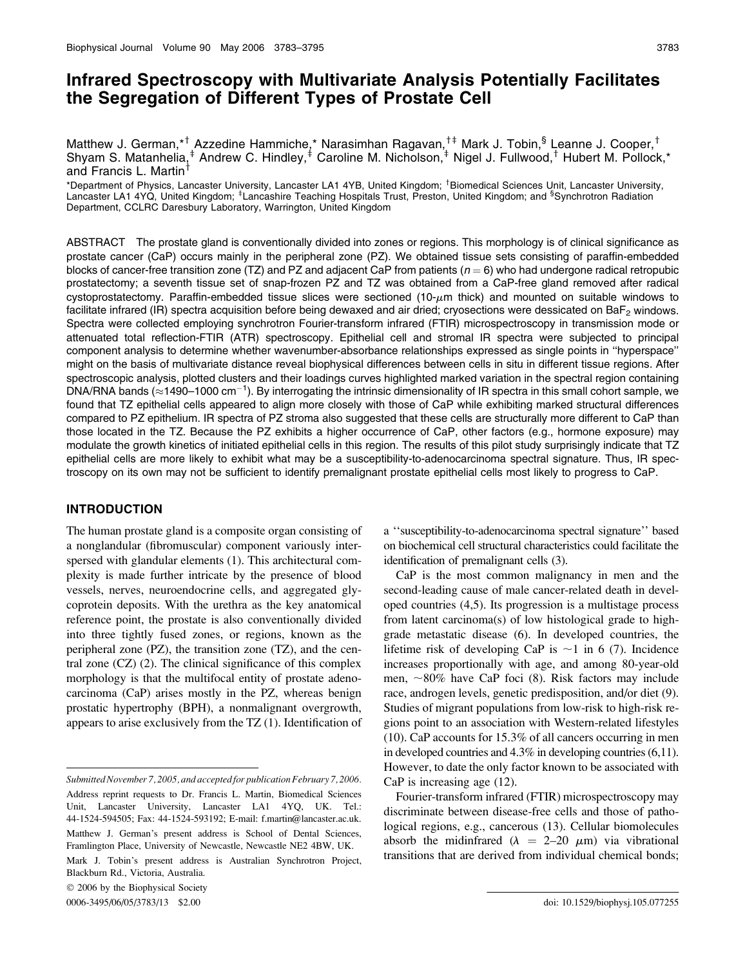# Infrared Spectroscopy with Multivariate Analysis Potentially Facilitates the Segregation of Different Types of Prostate Cell

Matthew J. German,\*<sup>†</sup> Azzedine Hammiche,\* Narasimhan Ragavan,<sup>†‡</sup> Mark J. Tobin,§ Leanne J. Cooper,<sup>†</sup> Shyam S. Matanhelia, $^{\ddagger}$  Andrew C. Hindley, $^{\ddagger}$  Caroline M. Nicholson, $^{\ddagger}$  Nigel J. Fullwood, $^{\ddagger}$  Hubert M. Pollock, $^{\star}$ and Francis L. Martin<sup>T</sup>

\*Department of Physics, Lancaster University, Lancaster LA1 4YB, United Kingdom; <sup>†</sup>Biomedical Sciences Unit, Lancaster University, Lancaster LA1 4YQ, United Kingdom; <sup>‡</sup>Lancashire Teaching Hospitals Trust, Preston, United Kingdom; and <sup>§</sup>Synchrotron Radiation Department, CCLRC Daresbury Laboratory, Warrington, United Kingdom

ABSTRACT The prostate gland is conventionally divided into zones or regions. This morphology is of clinical significance as prostate cancer (CaP) occurs mainly in the peripheral zone (PZ). We obtained tissue sets consisting of paraffin-embedded blocks of cancer-free transition zone (TZ) and PZ and adjacent CaP from patients ( $n = 6$ ) who had undergone radical retropubic prostatectomy; a seventh tissue set of snap-frozen PZ and TZ was obtained from a CaP-free gland removed after radical cystoprostatectomy. Paraffin-embedded tissue slices were sectioned (10- $\mu$ m thick) and mounted on suitable windows to facilitate infrared (IR) spectra acquisition before being dewaxed and air dried; cryosections were dessicated on BaF<sub>2</sub> windows. Spectra were collected employing synchrotron Fourier-transform infrared (FTIR) microspectroscopy in transmission mode or attenuated total reflection-FTIR (ATR) spectroscopy. Epithelial cell and stromal IR spectra were subjected to principal component analysis to determine whether wavenumber-absorbance relationships expressed as single points in ''hyperspace'' might on the basis of multivariate distance reveal biophysical differences between cells in situ in different tissue regions. After spectroscopic analysis, plotted clusters and their loadings curves highlighted marked variation in the spectral region containing DNA/RNA bands ( $\approx$ 1490–1000 cm<sup>-1</sup>). By interrogating the intrinsic dimensionality of IR spectra in this small cohort sample, we found that TZ epithelial cells appeared to align more closely with those of CaP while exhibiting marked structural differences compared to PZ epithelium. IR spectra of PZ stroma also suggested that these cells are structurally more different to CaP than those located in the TZ. Because the PZ exhibits a higher occurrence of CaP, other factors (e.g., hormone exposure) may modulate the growth kinetics of initiated epithelial cells in this region. The results of this pilot study surprisingly indicate that TZ epithelial cells are more likely to exhibit what may be a susceptibility-to-adenocarcinoma spectral signature. Thus, IR spectroscopy on its own may not be sufficient to identify premalignant prostate epithelial cells most likely to progress to CaP.

## INTRODUCTION

The human prostate gland is a composite organ consisting of a nonglandular (fibromuscular) component variously interspersed with glandular elements (1). This architectural complexity is made further intricate by the presence of blood vessels, nerves, neuroendocrine cells, and aggregated glycoprotein deposits. With the urethra as the key anatomical reference point, the prostate is also conventionally divided into three tightly fused zones, or regions, known as the peripheral zone (PZ), the transition zone (TZ), and the central zone (CZ) (2). The clinical significance of this complex morphology is that the multifocal entity of prostate adenocarcinoma (CaP) arises mostly in the PZ, whereas benign prostatic hypertrophy (BPH), a nonmalignant overgrowth, appears to arise exclusively from the TZ (1). Identification of

Submitted November 7, 2005, and accepted for publication February 7, 2006. Address reprint requests to Dr. Francis L. Martin, Biomedical Sciences Unit, Lancaster University, Lancaster LA1 4YQ, UK. Tel.: 44-1524-594505; Fax: 44-1524-593192; E-mail: f.martin@lancaster.ac.uk. Matthew J. German's present address is School of Dental Sciences, Framlington Place, University of Newcastle, Newcastle NE2 4BW, UK.

Mark J. Tobin's present address is Australian Synchrotron Project, Blackburn Rd., Victoria, Australia.

 $© 2006$  by the Biophysical Society

a ''susceptibility-to-adenocarcinoma spectral signature'' based on biochemical cell structural characteristics could facilitate the identification of premalignant cells (3).

CaP is the most common malignancy in men and the second-leading cause of male cancer-related death in developed countries (4,5). Its progression is a multistage process from latent carcinoma(s) of low histological grade to highgrade metastatic disease (6). In developed countries, the lifetime risk of developing CaP is  $\sim$ 1 in 6 (7). Incidence increases proportionally with age, and among 80-year-old men,  $\sim 80\%$  have CaP foci (8). Risk factors may include race, androgen levels, genetic predisposition, and/or diet (9). Studies of migrant populations from low-risk to high-risk regions point to an association with Western-related lifestyles (10). CaP accounts for 15.3% of all cancers occurring in men in developed countries and 4.3% in developing countries (6,11). However, to date the only factor known to be associated with CaP is increasing age (12).

Fourier-transform infrared (FTIR) microspectroscopy may discriminate between disease-free cells and those of pathological regions, e.g., cancerous (13). Cellular biomolecules absorb the midinfrared ( $\lambda = 2{\text -}20 \mu m$ ) via vibrational transitions that are derived from individual chemical bonds;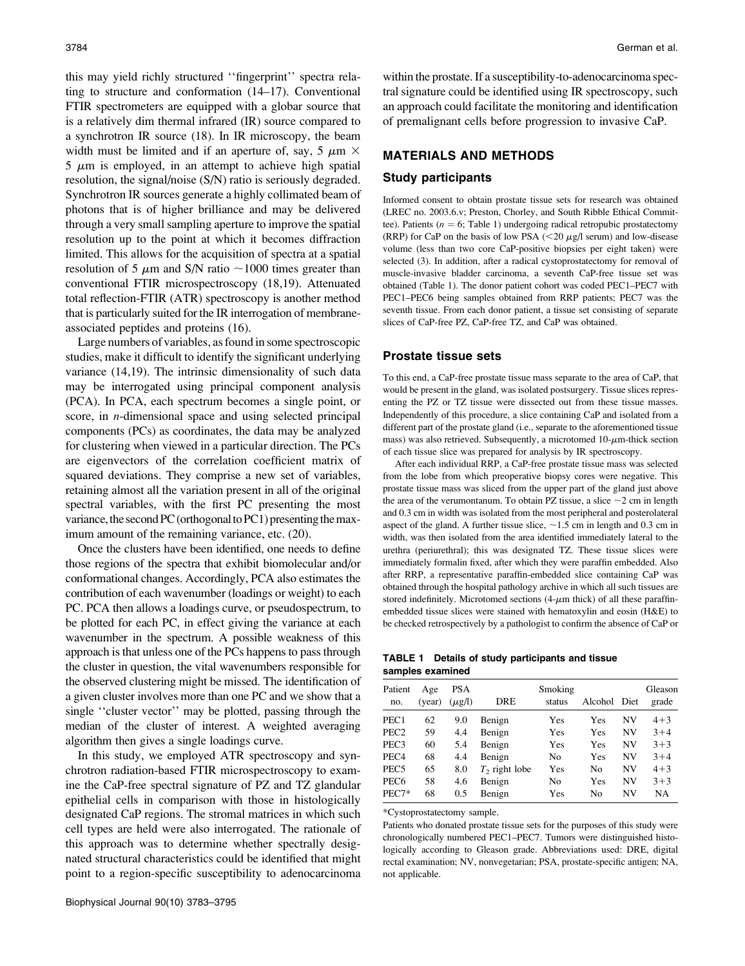this may yield richly structured ''fingerprint'' spectra relating to structure and conformation (14–17). Conventional FTIR spectrometers are equipped with a globar source that is a relatively dim thermal infrared (IR) source compared to a synchrotron IR source (18). In IR microscopy, the beam width must be limited and if an aperture of, say, 5  $\mu$ m  $\times$  $5 \mu m$  is employed, in an attempt to achieve high spatial resolution, the signal/noise (S/N) ratio is seriously degraded. Synchrotron IR sources generate a highly collimated beam of photons that is of higher brilliance and may be delivered through a very small sampling aperture to improve the spatial resolution up to the point at which it becomes diffraction limited. This allows for the acquisition of spectra at a spatial resolution of 5  $\mu$ m and S/N ratio  $\sim$ 1000 times greater than conventional FTIR microspectroscopy (18,19). Attenuated total reflection-FTIR (ATR) spectroscopy is another method that is particularly suited for the IR interrogation of membraneassociated peptides and proteins (16).

Large numbers of variables, as found in some spectroscopic studies, make it difficult to identify the significant underlying variance (14,19). The intrinsic dimensionality of such data may be interrogated using principal component analysis (PCA). In PCA, each spectrum becomes a single point, or score, in *n*-dimensional space and using selected principal components (PCs) as coordinates, the data may be analyzed for clustering when viewed in a particular direction. The PCs are eigenvectors of the correlation coefficient matrix of squared deviations. They comprise a new set of variables, retaining almost all the variation present in all of the original spectral variables, with the first PC presenting the most variance, the second PC (orthogonal to PC1) presenting the maximum amount of the remaining variance, etc. (20).

Once the clusters have been identified, one needs to define those regions of the spectra that exhibit biomolecular and/or conformational changes. Accordingly, PCA also estimates the contribution of each wavenumber (loadings or weight) to each PC. PCA then allows a loadings curve, or pseudospectrum, to be plotted for each PC, in effect giving the variance at each wavenumber in the spectrum. A possible weakness of this approach is that unless one of the PCs happens to pass through the cluster in question, the vital wavenumbers responsible for the observed clustering might be missed. The identification of a given cluster involves more than one PC and we show that a single ''cluster vector'' may be plotted, passing through the median of the cluster of interest. A weighted averaging algorithm then gives a single loadings curve.

In this study, we employed ATR spectroscopy and synchrotron radiation-based FTIR microspectroscopy to examine the CaP-free spectral signature of PZ and TZ glandular epithelial cells in comparison with those in histologically designated CaP regions. The stromal matrices in which such cell types are held were also interrogated. The rationale of this approach was to determine whether spectrally designated structural characteristics could be identified that might point to a region-specific susceptibility to adenocarcinoma within the prostate. If a susceptibility-to-adenocarcinoma spectral signature could be identified using IR spectroscopy, such an approach could facilitate the monitoring and identification of premalignant cells before progression to invasive CaP.

### MATERIALS AND METHODS

### Study participants

Informed consent to obtain prostate tissue sets for research was obtained (LREC no. 2003.6.v; Preston, Chorley, and South Ribble Ethical Committee). Patients ( $n = 6$ ; Table 1) undergoing radical retropubic prostatectomy (RRP) for CaP on the basis of low PSA ( $\leq$ 20  $\mu$ g/l serum) and low-disease volume (less than two core CaP-positive biopsies per eight taken) were selected (3). In addition, after a radical cystoprostatectomy for removal of muscle-invasive bladder carcinoma, a seventh CaP-free tissue set was obtained (Table 1). The donor patient cohort was coded PEC1–PEC7 with PEC1–PEC6 being samples obtained from RRP patients; PEC7 was the seventh tissue. From each donor patient, a tissue set consisting of separate slices of CaP-free PZ, CaP-free TZ, and CaP was obtained.

### Prostate tissue sets

To this end, a CaP-free prostate tissue mass separate to the area of CaP, that would be present in the gland, was isolated postsurgery. Tissue slices representing the PZ or TZ tissue were dissected out from these tissue masses. Independently of this procedure, a slice containing CaP and isolated from a different part of the prostate gland (i.e., separate to the aforementioned tissue mass) was also retrieved. Subsequently, a microtomed  $10$ - $\mu$ m-thick section of each tissue slice was prepared for analysis by IR spectroscopy.

After each individual RRP, a CaP-free prostate tissue mass was selected from the lobe from which preoperative biopsy cores were negative. This prostate tissue mass was sliced from the upper part of the gland just above the area of the verumontanum. To obtain PZ tissue, a slice  $\sim$ 2 cm in length and 0.3 cm in width was isolated from the most peripheral and posterolateral aspect of the gland. A further tissue slice,  $\sim$ 1.5 cm in length and 0.3 cm in width, was then isolated from the area identified immediately lateral to the urethra (periurethral); this was designated TZ. These tissue slices were immediately formalin fixed, after which they were paraffin embedded. Also after RRP, a representative paraffin-embedded slice containing CaP was obtained through the hospital pathology archive in which all such tissues are stored indefinitely. Microtomed sections  $(4-\mu m)$  thick) of all these paraffinembedded tissue slices were stained with hematoxylin and eosin (H&E) to be checked retrospectively by a pathologist to confirm the absence of CaP or

TABLE 1 Details of study participants and tissue samples examined

| Patient<br>no.   | PSA<br>Age<br><b>DRE</b><br>$(\mu$ g/l)<br>(year) |     | Smoking<br>status | Alcohol | Diet | Gleason<br>grade |           |  |
|------------------|---------------------------------------------------|-----|-------------------|---------|------|------------------|-----------|--|
| PEC1             | 62                                                | 9.0 | Benign            | Yes     | Yes  | NV               | $4 + 3$   |  |
| PEC <sub>2</sub> | 59                                                | 4.4 | Benign            | Yes     | Yes  | NV               | $3 + 4$   |  |
| PEC <sub>3</sub> | 60                                                | 5.4 | Benign            | Yes     | Yes  | NV               | $3 + 3$   |  |
| PEC <sub>4</sub> | 68                                                | 4.4 | Benign            | No      | Yes  | <b>NV</b>        | $3 + 4$   |  |
| PEC <sub>5</sub> | 65                                                | 8.0 | $T_2$ right lobe  | Yes     | No   | NV               | $4 + 3$   |  |
| PEC <sub>6</sub> | 58                                                | 4.6 | Benign            | No      | Yes  | NV               | $3 + 3$   |  |
| $PEC7*$          | 68                                                | 0.5 | Benign            | Yes     | No   | NV               | <b>NA</b> |  |

\*Cystoprostatectomy sample.

Patients who donated prostate tissue sets for the purposes of this study were chronologically numbered PEC1–PEC7. Tumors were distinguished histologically according to Gleason grade. Abbreviations used: DRE, digital rectal examination; NV, nonvegetarian; PSA, prostate-specific antigen; NA, not applicable.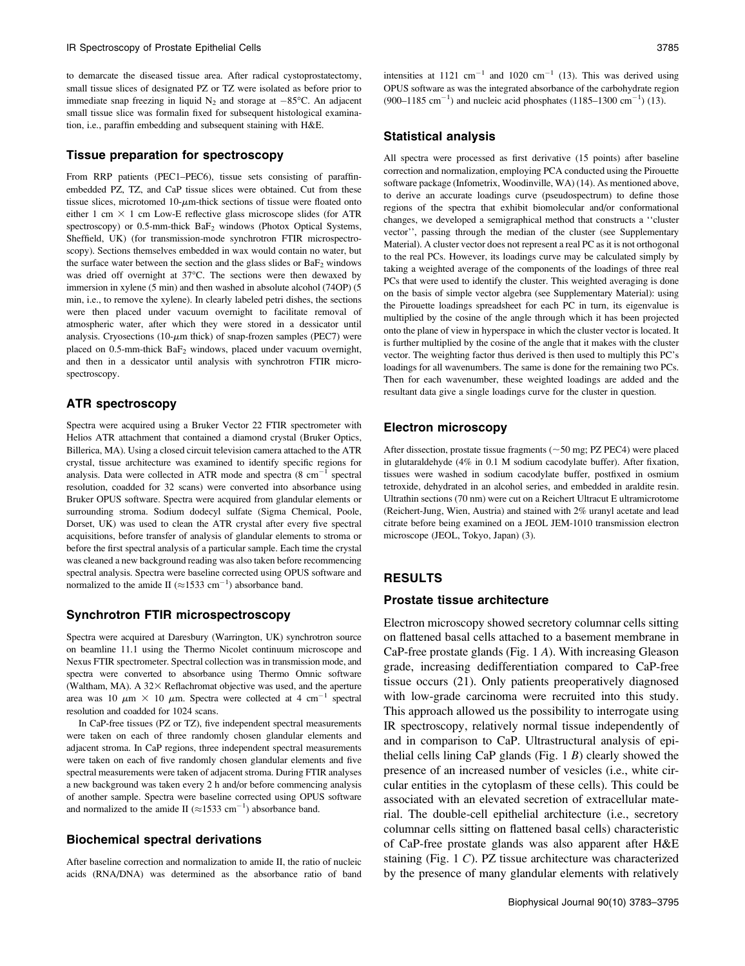to demarcate the diseased tissue area. After radical cystoprostatectomy, small tissue slices of designated PZ or TZ were isolated as before prior to immediate snap freezing in liquid  $N_2$  and storage at  $-85^{\circ}$ C. An adjacent small tissue slice was formalin fixed for subsequent histological examination, i.e., paraffin embedding and subsequent staining with H&E.

### Tissue preparation for spectroscopy

From RRP patients (PEC1–PEC6), tissue sets consisting of paraffinembedded PZ, TZ, and CaP tissue slices were obtained. Cut from these tissue slices, microtomed  $10$ - $\mu$ m-thick sections of tissue were floated onto either 1 cm  $\times$  1 cm Low-E reflective glass microscope slides (for ATR spectroscopy) or 0.5-mm-thick BaF<sub>2</sub> windows (Photox Optical Systems, Sheffield, UK) (for transmission-mode synchrotron FTIR microspectroscopy). Sections themselves embedded in wax would contain no water, but the surface water between the section and the glass slides or  $BaF<sub>2</sub>$  windows was dried off overnight at 37°C. The sections were then dewaxed by immersion in xylene (5 min) and then washed in absolute alcohol (74OP) (5 min, i.e., to remove the xylene). In clearly labeled petri dishes, the sections were then placed under vacuum overnight to facilitate removal of atmospheric water, after which they were stored in a dessicator until analysis. Cryosections (10- $\mu$ m thick) of snap-frozen samples (PEC7) were placed on 0.5-mm-thick BaF2 windows, placed under vacuum overnight, and then in a dessicator until analysis with synchrotron FTIR microspectroscopy.

### ATR spectroscopy

Spectra were acquired using a Bruker Vector 22 FTIR spectrometer with Helios ATR attachment that contained a diamond crystal (Bruker Optics, Billerica, MA). Using a closed circuit television camera attached to the ATR crystal, tissue architecture was examined to identify specific regions for analysis. Data were collected in ATR mode and spectra  $(8 \text{ cm}^{-1} \text{ spectral})$ resolution, coadded for 32 scans) were converted into absorbance using Bruker OPUS software. Spectra were acquired from glandular elements or surrounding stroma. Sodium dodecyl sulfate (Sigma Chemical, Poole, Dorset, UK) was used to clean the ATR crystal after every five spectral acquisitions, before transfer of analysis of glandular elements to stroma or before the first spectral analysis of a particular sample. Each time the crystal was cleaned a new background reading was also taken before recommencing spectral analysis. Spectra were baseline corrected using OPUS software and normalized to the amide II ( $\approx$ 1533 cm<sup>-1</sup>) absorbance band.

#### Synchrotron FTIR microspectroscopy

Spectra were acquired at Daresbury (Warrington, UK) synchrotron source on beamline 11.1 using the Thermo Nicolet continuum microscope and Nexus FTIR spectrometer. Spectral collection was in transmission mode, and spectra were converted to absorbance using Thermo Omnic software (Waltham, MA). A  $32\times$  Reflachromat objective was used, and the aperture area was 10  $\mu$ m × 10  $\mu$ m. Spectra were collected at 4 cm<sup>-1</sup> spectral resolution and coadded for 1024 scans.

In CaP-free tissues (PZ or TZ), five independent spectral measurements were taken on each of three randomly chosen glandular elements and adjacent stroma. In CaP regions, three independent spectral measurements were taken on each of five randomly chosen glandular elements and five spectral measurements were taken of adjacent stroma. During FTIR analyses a new background was taken every 2 h and/or before commencing analysis of another sample. Spectra were baseline corrected using OPUS software and normalized to the amide II ( $\approx$ 1533 cm<sup>-1</sup>) absorbance band.

#### Biochemical spectral derivations

After baseline correction and normalization to amide II, the ratio of nucleic acids (RNA/DNA) was determined as the absorbance ratio of band

intensities at 1121 cm<sup>-1</sup> and 1020 cm<sup>-1</sup> (13). This was derived using OPUS software as was the integrated absorbance of the carbohydrate region  $(900-1185 \text{ cm}^{-1})$  and nucleic acid phosphates  $(1185-1300 \text{ cm}^{-1})$   $(13)$ .

#### Statistical analysis

All spectra were processed as first derivative (15 points) after baseline correction and normalization, employing PCA conducted using the Pirouette software package (Infometrix, Woodinville, WA) (14). As mentioned above, to derive an accurate loadings curve (pseudospectrum) to define those regions of the spectra that exhibit biomolecular and/or conformational changes, we developed a semigraphical method that constructs a ''cluster vector'', passing through the median of the cluster (see Supplementary Material). A cluster vector does not represent a real PC as it is not orthogonal to the real PCs. However, its loadings curve may be calculated simply by taking a weighted average of the components of the loadings of three real PCs that were used to identify the cluster. This weighted averaging is done on the basis of simple vector algebra (see Supplementary Material): using the Pirouette loadings spreadsheet for each PC in turn, its eigenvalue is multiplied by the cosine of the angle through which it has been projected onto the plane of view in hyperspace in which the cluster vector is located. It is further multiplied by the cosine of the angle that it makes with the cluster vector. The weighting factor thus derived is then used to multiply this PC's loadings for all wavenumbers. The same is done for the remaining two PCs. Then for each wavenumber, these weighted loadings are added and the resultant data give a single loadings curve for the cluster in question.

### Electron microscopy

After dissection, prostate tissue fragments ( $\sim$  50 mg; PZ PEC4) were placed in glutaraldehyde (4% in 0.1 M sodium cacodylate buffer). After fixation, tissues were washed in sodium cacodylate buffer, postfixed in osmium tetroxide, dehydrated in an alcohol series, and embedded in araldite resin. Ultrathin sections (70 nm) were cut on a Reichert Ultracut E ultramicrotome (Reichert-Jung, Wien, Austria) and stained with 2% uranyl acetate and lead citrate before being examined on a JEOL JEM-1010 transmission electron microscope (JEOL, Tokyo, Japan) (3).

### RESULTS

### Prostate tissue architecture

Electron microscopy showed secretory columnar cells sitting on flattened basal cells attached to a basement membrane in CaP-free prostate glands (Fig. 1 A). With increasing Gleason grade, increasing dedifferentiation compared to CaP-free tissue occurs (21). Only patients preoperatively diagnosed with low-grade carcinoma were recruited into this study. This approach allowed us the possibility to interrogate using IR spectroscopy, relatively normal tissue independently of and in comparison to CaP. Ultrastructural analysis of epithelial cells lining CaP glands (Fig. 1 B) clearly showed the presence of an increased number of vesicles (i.e., white circular entities in the cytoplasm of these cells). This could be associated with an elevated secretion of extracellular material. The double-cell epithelial architecture (i.e., secretory columnar cells sitting on flattened basal cells) characteristic of CaP-free prostate glands was also apparent after H&E staining (Fig. 1 C). PZ tissue architecture was characterized by the presence of many glandular elements with relatively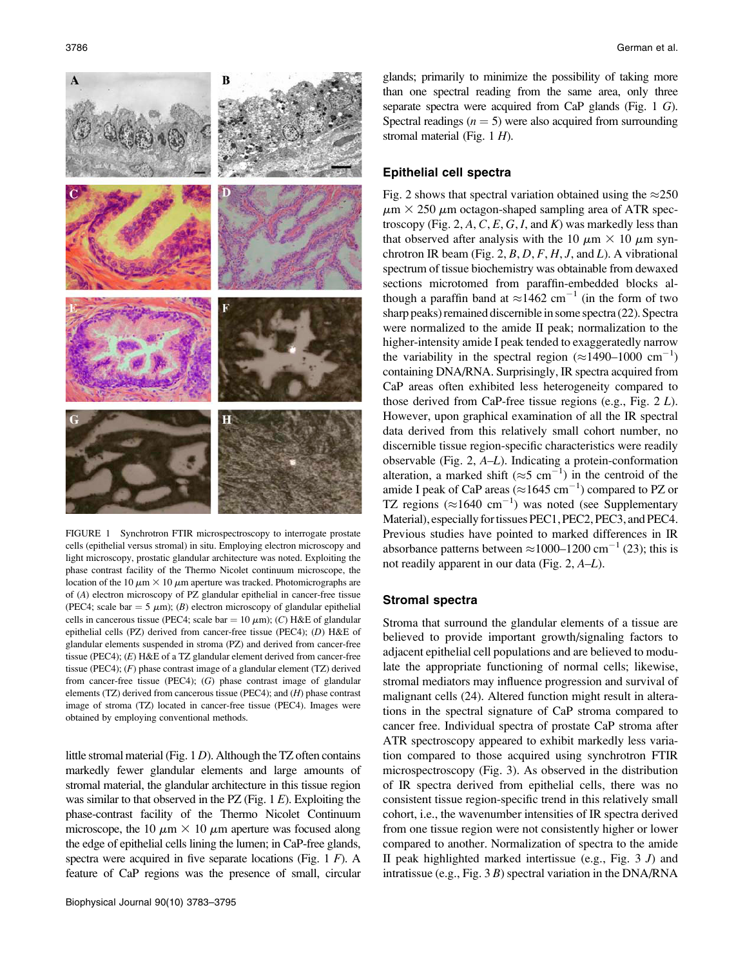

FIGURE 1 Synchrotron FTIR microspectroscopy to interrogate prostate cells (epithelial versus stromal) in situ. Employing electron microscopy and light microscopy, prostatic glandular architecture was noted. Exploiting the phase contrast facility of the Thermo Nicolet continuum microscope, the location of the 10  $\mu$ m  $\times$  10  $\mu$ m aperture was tracked. Photomicrographs are of (A) electron microscopy of PZ glandular epithelial in cancer-free tissue (PEC4; scale bar = 5  $\mu$ m); (*B*) electron microscopy of glandular epithelial cells in cancerous tissue (PEC4; scale bar = 10  $\mu$ m); (C) H&E of glandular epithelial cells (PZ) derived from cancer-free tissue (PEC4); (D) H&E of glandular elements suspended in stroma (PZ) and derived from cancer-free tissue (PEC4); (E) H&E of a TZ glandular element derived from cancer-free tissue (PEC4); (F) phase contrast image of a glandular element (TZ) derived from cancer-free tissue (PEC4); (G) phase contrast image of glandular elements (TZ) derived from cancerous tissue (PEC4); and (H) phase contrast image of stroma (TZ) located in cancer-free tissue (PEC4). Images were obtained by employing conventional methods.

little stromal material (Fig.  $1 D$ ). Although the TZ often contains markedly fewer glandular elements and large amounts of stromal material, the glandular architecture in this tissue region was similar to that observed in the PZ (Fig.  $1 E$ ). Exploiting the phase-contrast facility of the Thermo Nicolet Continuum microscope, the 10  $\mu$ m  $\times$  10  $\mu$ m aperture was focused along the edge of epithelial cells lining the lumen; in CaP-free glands, spectra were acquired in five separate locations (Fig. 1  $F$ ). A feature of CaP regions was the presence of small, circular glands; primarily to minimize the possibility of taking more than one spectral reading from the same area, only three separate spectra were acquired from CaP glands (Fig. 1 G). Spectral readings ( $n = 5$ ) were also acquired from surrounding stromal material (Fig. 1 H).

### Epithelial cell spectra

Fig. 2 shows that spectral variation obtained using the  $\approx$  250  $\mu$ m  $\times$  250  $\mu$ m octagon-shaped sampling area of ATR spectroscopy (Fig. 2, A, C, E, G, I, and K) was markedly less than that observed after analysis with the 10  $\mu$ m  $\times$  10  $\mu$ m synchrotron IR beam (Fig. 2,  $B, D, F, H, J$ , and L). A vibrational spectrum of tissue biochemistry was obtainable from dewaxed sections microtomed from paraffin-embedded blocks although a paraffin band at  $\approx$  1462 cm<sup>-1</sup> (in the form of two sharp peaks) remained discernible in some spectra (22). Spectra were normalized to the amide II peak; normalization to the higher-intensity amide I peak tended to exaggeratedly narrow the variability in the spectral region  $(\approx 1490-1000 \text{ cm}^{-1})$ containing DNA/RNA. Surprisingly, IR spectra acquired from CaP areas often exhibited less heterogeneity compared to those derived from CaP-free tissue regions (e.g., Fig. 2 L). However, upon graphical examination of all the IR spectral data derived from this relatively small cohort number, no discernible tissue region-specific characteristics were readily observable (Fig. 2, A–L). Indicating a protein-conformation alteration, a marked shift ( $\approx$ 5 cm<sup>-1</sup>) in the centroid of the amide I peak of CaP areas ( $\approx 1645$  cm<sup>-1</sup>) compared to PZ or TZ regions ( $\approx$ 1640 cm<sup>-1</sup>) was noted (see Supplementary Material), especially for tissues PEC1, PEC2, PEC3, and PEC4. Previous studies have pointed to marked differences in IR absorbance patterns between  $\approx$  1000–1200 cm<sup>-1</sup> (23); this is not readily apparent in our data (Fig. 2, A–L).

### Stromal spectra

Stroma that surround the glandular elements of a tissue are believed to provide important growth/signaling factors to adjacent epithelial cell populations and are believed to modulate the appropriate functioning of normal cells; likewise, stromal mediators may influence progression and survival of malignant cells (24). Altered function might result in alterations in the spectral signature of CaP stroma compared to cancer free. Individual spectra of prostate CaP stroma after ATR spectroscopy appeared to exhibit markedly less variation compared to those acquired using synchrotron FTIR microspectroscopy (Fig. 3). As observed in the distribution of IR spectra derived from epithelial cells, there was no consistent tissue region-specific trend in this relatively small cohort, i.e., the wavenumber intensities of IR spectra derived from one tissue region were not consistently higher or lower compared to another. Normalization of spectra to the amide II peak highlighted marked intertissue (e.g., Fig.  $3 J$ ) and intratissue (e.g., Fig. 3 B) spectral variation in the DNA/RNA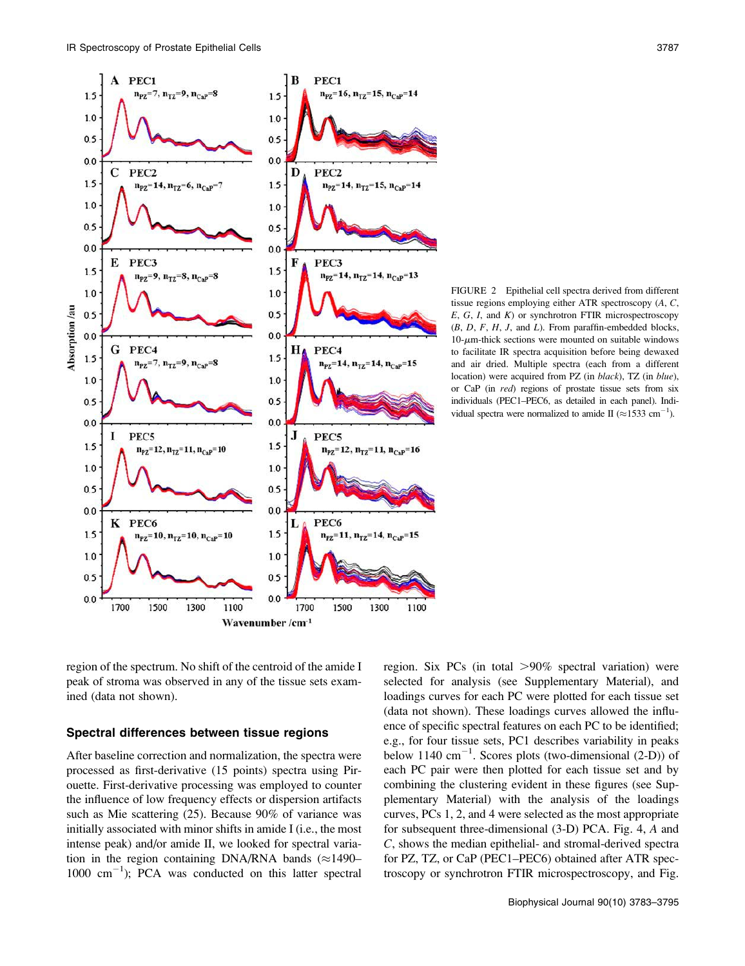

FIGURE 2 Epithelial cell spectra derived from different tissue regions employing either ATR spectroscopy (A, C,  $E, G, I$ , and  $K$ ) or synchrotron FTIR microspectroscopy  $(B, D, F, H, J, and L)$ . From paraffin-embedded blocks,  $10$ - $\mu$ m-thick sections were mounted on suitable windows to facilitate IR spectra acquisition before being dewaxed and air dried. Multiple spectra (each from a different location) were acquired from PZ (in black), TZ (in blue), or CaP (in red) regions of prostate tissue sets from six individuals (PEC1–PEC6, as detailed in each panel). Individual spectra were normalized to amide II ( $\approx$ 1533 cm<sup>-1</sup>).

region of the spectrum. No shift of the centroid of the amide I peak of stroma was observed in any of the tissue sets examined (data not shown).

### Spectral differences between tissue regions

After baseline correction and normalization, the spectra were processed as first-derivative (15 points) spectra using Pirouette. First-derivative processing was employed to counter the influence of low frequency effects or dispersion artifacts such as Mie scattering (25). Because 90% of variance was initially associated with minor shifts in amide I (i.e., the most intense peak) and/or amide II, we looked for spectral variation in the region containing DNA/RNA bands ( $\approx$ 1490–  $1000 \text{ cm}^{-1}$ ); PCA was conducted on this latter spectral

region. Six PCs (in total  $>90\%$  spectral variation) were selected for analysis (see Supplementary Material), and loadings curves for each PC were plotted for each tissue set (data not shown). These loadings curves allowed the influence of specific spectral features on each PC to be identified; e.g., for four tissue sets, PC1 describes variability in peaks below 1140  $\text{cm}^{-1}$ . Scores plots (two-dimensional (2-D)) of each PC pair were then plotted for each tissue set and by combining the clustering evident in these figures (see Supplementary Material) with the analysis of the loadings curves, PCs 1, 2, and 4 were selected as the most appropriate for subsequent three-dimensional (3-D) PCA. Fig. 4, A and C, shows the median epithelial- and stromal-derived spectra for PZ, TZ, or CaP (PEC1–PEC6) obtained after ATR spectroscopy or synchrotron FTIR microspectroscopy, and Fig.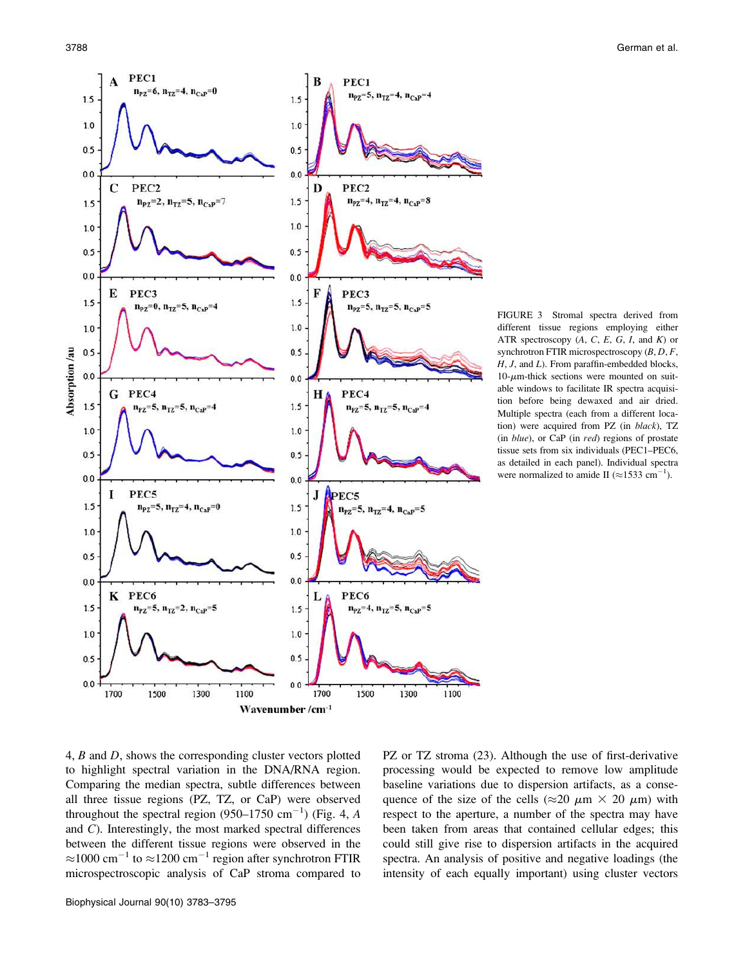



4, B and D, shows the corresponding cluster vectors plotted to highlight spectral variation in the DNA/RNA region. Comparing the median spectra, subtle differences between all three tissue regions (PZ, TZ, or CaP) were observed throughout the spectral region  $(950-1750 \text{ cm}^{-1})$  (Fig. 4, A and C). Interestingly, the most marked spectral differences between the different tissue regions were observed in the  $\approx$ 1000 cm<sup>-1</sup> to  $\approx$ 1200 cm<sup>-1</sup> region after synchrotron FTIR microspectroscopic analysis of CaP stroma compared to

PZ or TZ stroma (23). Although the use of first-derivative processing would be expected to remove low amplitude baseline variations due to dispersion artifacts, as a consequence of the size of the cells ( $\approx$ 20  $\mu$ m  $\times$  20  $\mu$ m) with respect to the aperture a number of the spectra may have respect to the aperture, a number of the spectra may have been taken from areas that contained cellular edges; this could still give rise to dispersion artifacts in the acquired spectra. An analysis of positive and negative loadings (the intensity of each equally important) using cluster vectors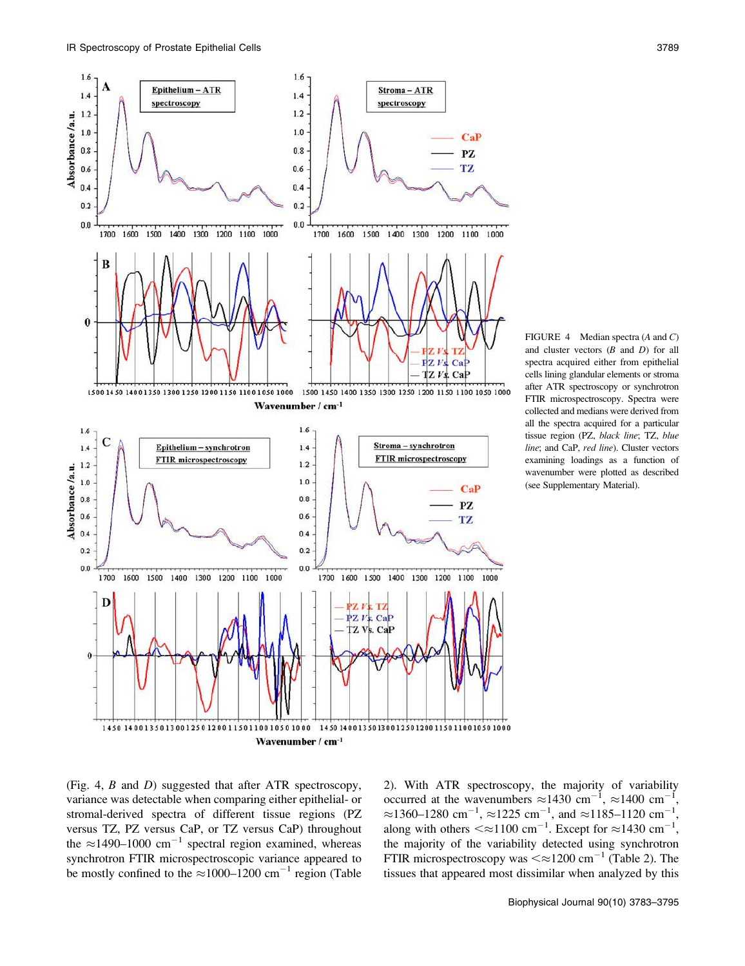

FIGURE 4 Median spectra  $(A \text{ and } C)$ and cluster vectors  $(B \text{ and } D)$  for all spectra acquired either from epithelial cells lining glandular elements or stroma after ATR spectroscopy or synchrotron FTIR microspectroscopy. Spectra were collected and medians were derived from all the spectra acquired for a particular tissue region (PZ, black line; TZ, blue line; and CaP, red line). Cluster vectors examining loadings as a function of wavenumber were plotted as described

(Fig. 4,  $B$  and  $D$ ) suggested that after ATR spectroscopy, variance was detectable when comparing either epithelial- or stromal-derived spectra of different tissue regions (PZ versus TZ, PZ versus CaP, or TZ versus CaP) throughout the  $\approx$ 1490–1000 cm<sup>-1</sup> spectral region examined, whereas synchrotron FTIR microspectroscopic variance appeared to be mostly confined to the  $\approx$ 1000–1200 cm<sup>-1</sup> region (Table

2). With ATR spectroscopy, the majority of variability occurred at the wavenumbers  $\approx 1430 \text{ cm}^{-1}$ ,  $\approx 1400 \text{ cm}^{-1}$ ,  $\approx$ 1360–1280 cm<sup>-1</sup>,  $\approx$ 1225 cm<sup>-1</sup>, and  $\approx$ 1185–1120 cm<sup>-1</sup>, along with others  $\leq \approx 1100 \text{ cm}^{-1}$ . Except for  $\approx 1430 \text{ cm}^{-1}$ , the majority of the variability detected using synchrotron FTIR microspectroscopy was  $\leq \approx 1200$  cm<sup>-1</sup> (Table 2). The tissues that appeared most dissimilar when analyzed by this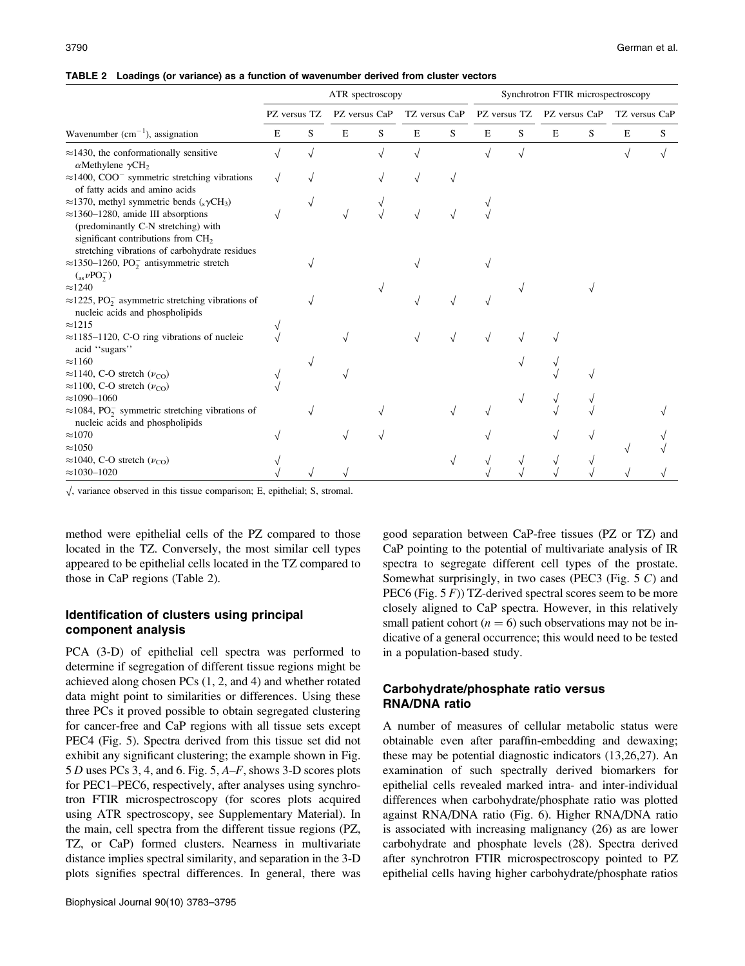### TABLE 2 Loadings (or variance) as a function of wavenumber derived from cluster vectors

|                                                                                                                                                                             | ATR spectroscopy |   |               |           |               | Synchrotron FTIR microspectroscopy |              |           |               |   |               |   |
|-----------------------------------------------------------------------------------------------------------------------------------------------------------------------------|------------------|---|---------------|-----------|---------------|------------------------------------|--------------|-----------|---------------|---|---------------|---|
|                                                                                                                                                                             | PZ versus TZ     |   | PZ versus CaP |           | TZ versus CaP |                                    | PZ versus TZ |           | PZ versus CaP |   | TZ versus CaP |   |
| Wavenumber $(cm^{-1})$ , assignation                                                                                                                                        |                  | S | $\mathbf E$   | S         | $\mathbf E$   | S                                  | E            | S         | E             | S | $\mathbf E$   | S |
| $\approx$ 1430, the conformationally sensitive<br>$\alpha$ Methylene $\gamma$ CH <sub>2</sub>                                                                               |                  |   |               | $\sqrt{}$ |               |                                    |              | $\sqrt{}$ |               |   | $\sqrt{}$     |   |
| $\approx$ 1400, COO <sup>-</sup> symmetric stretching vibrations<br>of fatty acids and amino acids                                                                          |                  |   |               |           |               |                                    |              |           |               |   |               |   |
| $\approx$ 1370, methyl symmetric bends ( $\gamma$ CH <sub>3</sub> )                                                                                                         |                  |   |               |           |               |                                    |              |           |               |   |               |   |
| $\approx$ 1360–1280, amide III absorptions<br>(predominantly C-N stretching) with<br>significant contributions from $CH2$<br>stretching vibrations of carbohydrate residues |                  |   |               |           |               |                                    |              |           |               |   |               |   |
| $\approx$ 1350–1260, PO <sub>2</sub> antisymmetric stretch<br>$\left({}_{as}\nu\rm{PO}^{-}_{2}\right)$                                                                      |                  |   |               |           |               |                                    |              |           |               |   |               |   |
| $\approx$ 1240                                                                                                                                                              |                  |   |               |           |               |                                    |              |           |               |   |               |   |
| $\approx$ 1225, PO <sub>2</sub> asymmetric stretching vibrations of<br>nucleic acids and phospholipids                                                                      |                  |   |               |           |               |                                    |              |           |               |   |               |   |
| $\approx$ 1215                                                                                                                                                              |                  |   |               |           |               |                                    |              |           |               |   |               |   |
| $\approx$ 1185–1120, C-O ring vibrations of nucleic<br>acid "sugars"                                                                                                        |                  |   |               |           |               |                                    |              |           |               |   |               |   |
| $\approx$ 1160                                                                                                                                                              |                  |   |               |           |               |                                    |              |           |               |   |               |   |
| $\approx$ 1140, C-O stretch ( $\nu_{\rm CO}$ )                                                                                                                              |                  |   |               |           |               |                                    |              |           |               |   |               |   |
| $\approx$ 1100, C-O stretch ( $v_{\text{CO}}$ )                                                                                                                             |                  |   |               |           |               |                                    |              |           |               |   |               |   |
| $\approx$ 1090-1060                                                                                                                                                         |                  |   |               |           |               |                                    |              |           |               |   |               |   |
| $\approx$ 1084, PO <sub>2</sub> symmetric stretching vibrations of<br>nucleic acids and phospholipids                                                                       |                  |   |               |           |               |                                    |              |           |               |   |               |   |
| $\approx$ 1070                                                                                                                                                              |                  |   |               |           |               |                                    |              |           |               |   |               |   |
| $\approx$ 1050                                                                                                                                                              |                  |   |               |           |               |                                    |              |           |               |   |               |   |
| $\approx$ 1040, C-O stretch ( $v_{\rm CO}$ )                                                                                                                                |                  |   |               |           |               |                                    |              |           |               |   |               |   |
| $\approx$ 1030-1020                                                                                                                                                         |                  |   |               |           |               |                                    |              |           |               |   |               |   |

 $\sqrt{ }$ , variance observed in this tissue comparison; E, epithelial; S, stromal.

method were epithelial cells of the PZ compared to those located in the TZ. Conversely, the most similar cell types appeared to be epithelial cells located in the TZ compared to those in CaP regions (Table 2).

# Identification of clusters using principal component analysis

PCA (3-D) of epithelial cell spectra was performed to determine if segregation of different tissue regions might be achieved along chosen PCs (1, 2, and 4) and whether rotated data might point to similarities or differences. Using these three PCs it proved possible to obtain segregated clustering for cancer-free and CaP regions with all tissue sets except PEC4 (Fig. 5). Spectra derived from this tissue set did not exhibit any significant clustering; the example shown in Fig. 5 D uses PCs 3, 4, and 6. Fig. 5, A–F, shows 3-D scores plots for PEC1–PEC6, respectively, after analyses using synchrotron FTIR microspectroscopy (for scores plots acquired using ATR spectroscopy, see Supplementary Material). In the main, cell spectra from the different tissue regions (PZ, TZ, or CaP) formed clusters. Nearness in multivariate distance implies spectral similarity, and separation in the 3-D plots signifies spectral differences. In general, there was good separation between CaP-free tissues (PZ or TZ) and CaP pointing to the potential of multivariate analysis of IR spectra to segregate different cell types of the prostate. Somewhat surprisingly, in two cases (PEC3 (Fig. 5 C) and PEC6 (Fig.  $5 F$ ) TZ-derived spectral scores seem to be more closely aligned to CaP spectra. However, in this relatively small patient cohort ( $n = 6$ ) such observations may not be indicative of a general occurrence; this would need to be tested in a population-based study.

# Carbohydrate/phosphate ratio versus RNA/DNA ratio

A number of measures of cellular metabolic status were obtainable even after paraffin-embedding and dewaxing; these may be potential diagnostic indicators (13,26,27). An examination of such spectrally derived biomarkers for epithelial cells revealed marked intra- and inter-individual differences when carbohydrate/phosphate ratio was plotted against RNA/DNA ratio (Fig. 6). Higher RNA/DNA ratio is associated with increasing malignancy (26) as are lower carbohydrate and phosphate levels (28). Spectra derived after synchrotron FTIR microspectroscopy pointed to PZ epithelial cells having higher carbohydrate/phosphate ratios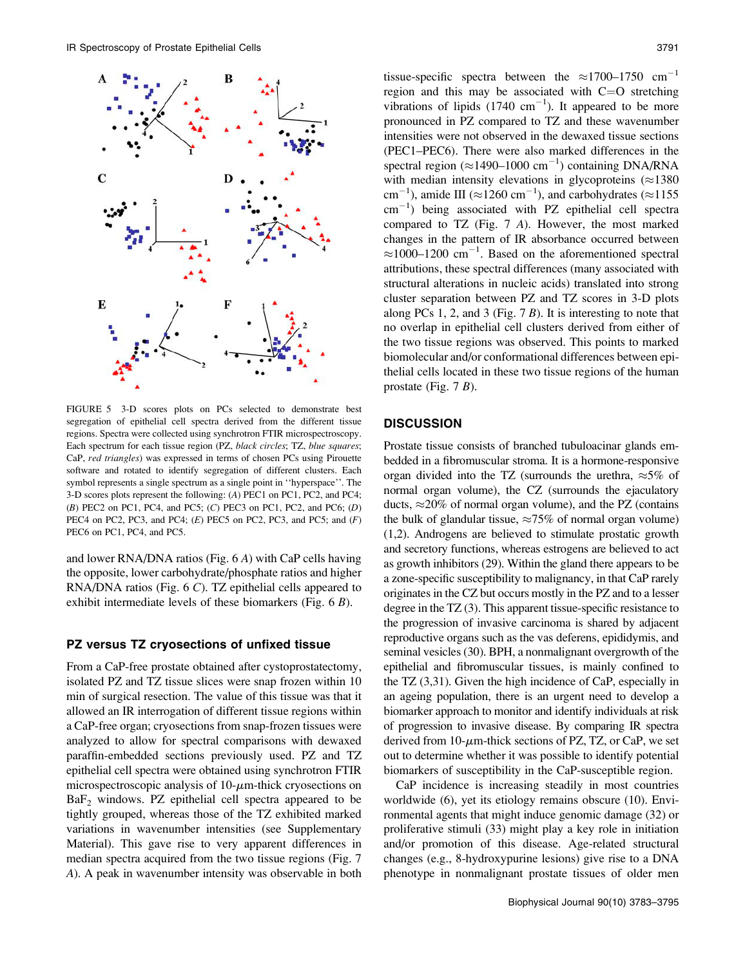

FIGURE 5 3-D scores plots on PCs selected to demonstrate best segregation of epithelial cell spectra derived from the different tissue regions. Spectra were collected using synchrotron FTIR microspectroscopy. Each spectrum for each tissue region (PZ, black circles; TZ, blue squares; CaP, red triangles) was expressed in terms of chosen PCs using Pirouette software and rotated to identify segregation of different clusters. Each symbol represents a single spectrum as a single point in ''hyperspace''. The 3-D scores plots represent the following: (A) PEC1 on PC1, PC2, and PC4;  $(B)$  PEC2 on PC1, PC4, and PC5;  $(C)$  PEC3 on PC1, PC2, and PC6;  $(D)$ PEC4 on PC2, PC3, and PC4; (E) PEC5 on PC2, PC3, and PC5; and (F) PEC6 on PC1, PC4, and PC5.

and lower RNA/DNA ratios (Fig. 6 A) with CaP cells having the opposite, lower carbohydrate/phosphate ratios and higher RNA/DNA ratios (Fig. 6 C). TZ epithelial cells appeared to exhibit intermediate levels of these biomarkers (Fig. 6 B).

### PZ versus TZ cryosections of unfixed tissue

From a CaP-free prostate obtained after cystoprostatectomy, isolated PZ and TZ tissue slices were snap frozen within 10 min of surgical resection. The value of this tissue was that it allowed an IR interrogation of different tissue regions within a CaP-free organ; cryosections from snap-frozen tissues were analyzed to allow for spectral comparisons with dewaxed paraffin-embedded sections previously used. PZ and TZ epithelial cell spectra were obtained using synchrotron FTIR microspectroscopic analysis of  $10$ - $\mu$ m-thick cryosections on  $BaF<sub>2</sub>$  windows. PZ epithelial cell spectra appeared to be tightly grouped, whereas those of the TZ exhibited marked variations in wavenumber intensities (see Supplementary Material). This gave rise to very apparent differences in median spectra acquired from the two tissue regions (Fig. 7 A). A peak in wavenumber intensity was observable in both

tissue-specific spectra between the  $\approx$ 1700–1750 cm<sup>-1</sup> region and this may be associated with  $C=O$  stretching vibrations of lipids  $(1740 \text{ cm}^{-1})$ . It appeared to be more pronounced in PZ compared to TZ and these wavenumber intensities were not observed in the dewaxed tissue sections (PEC1–PEC6). There were also marked differences in the spectral region ( $\approx$ 1490–1000 cm<sup>-1</sup>) containing DNA/RNA with median intensity elevations in glycoproteins  $(\approx 1380)$ cm<sup>-1</sup>), amide III ( $\approx$ 1260 cm<sup>-1</sup>), and carbohydrates ( $\approx$ 1155  $\text{cm}^{-1}$ ) being associated with PZ epithelial cell spectra compared to TZ (Fig. 7 A). However, the most marked changes in the pattern of IR absorbance occurred between  $\approx$ 1000–1200 cm<sup>-1</sup>. Based on the aforementioned spectral attributions, these spectral differences (many associated with structural alterations in nucleic acids) translated into strong cluster separation between PZ and TZ scores in 3-D plots along PCs 1, 2, and 3 (Fig.  $7 B$ ). It is interesting to note that no overlap in epithelial cell clusters derived from either of the two tissue regions was observed. This points to marked biomolecular and/or conformational differences between epithelial cells located in these two tissue regions of the human prostate (Fig.  $7 B$ ).

### **DISCUSSION**

Prostate tissue consists of branched tubuloacinar glands embedded in a fibromuscular stroma. It is a hormone-responsive organ divided into the TZ (surrounds the urethra,  $\approx$ 5% of normal organ volume), the CZ (surrounds the ejaculatory ducts,  $\approx$ 20% of normal organ volume), and the PZ (contains the bulk of glandular tissue,  $\approx 75\%$  of normal organ volume) (1,2). Androgens are believed to stimulate prostatic growth and secretory functions, whereas estrogens are believed to act as growth inhibitors (29). Within the gland there appears to be a zone-specific susceptibility to malignancy, in that CaP rarely originates in the CZ but occurs mostly in the PZ and to a lesser degree in the TZ (3). This apparent tissue-specific resistance to the progression of invasive carcinoma is shared by adjacent reproductive organs such as the vas deferens, epididymis, and seminal vesicles (30). BPH, a nonmalignant overgrowth of the epithelial and fibromuscular tissues, is mainly confined to the TZ (3,31). Given the high incidence of CaP, especially in an ageing population, there is an urgent need to develop a biomarker approach to monitor and identify individuals at risk of progression to invasive disease. By comparing IR spectra derived from  $10$ - $\mu$ m-thick sections of PZ, TZ, or CaP, we set out to determine whether it was possible to identify potential biomarkers of susceptibility in the CaP-susceptible region.

CaP incidence is increasing steadily in most countries worldwide (6), yet its etiology remains obscure (10). Environmental agents that might induce genomic damage (32) or proliferative stimuli (33) might play a key role in initiation and/or promotion of this disease. Age-related structural changes (e.g., 8-hydroxypurine lesions) give rise to a DNA phenotype in nonmalignant prostate tissues of older men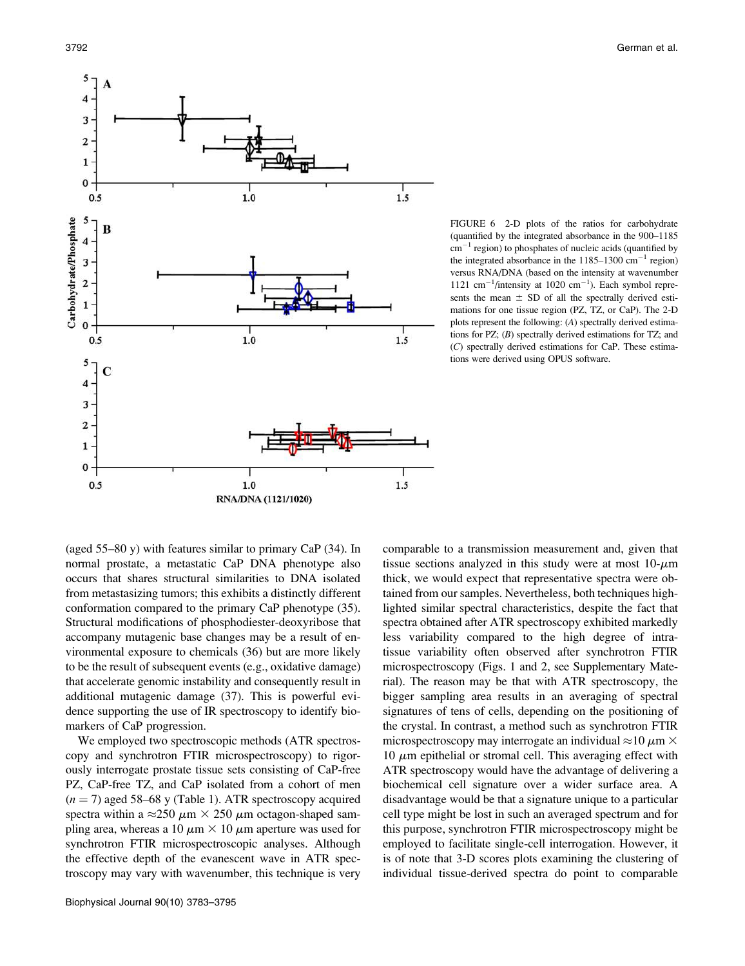

FIGURE 6 2-D plots of the ratios for carbohydrate (quantified by the integrated absorbance in the 900–1185  $cm^{-1}$  region) to phosphates of nucleic acids (quantified by the integrated absorbance in the  $1185-1300$  cm<sup>-1</sup> region) versus RNA/DNA (based on the intensity at wavenumber 1121 cm<sup>-1</sup>/intensity at 1020 cm<sup>-1</sup>). Each symbol represents the mean  $\pm$  SD of all the spectrally derived estimations for one tissue region (PZ, TZ, or CaP). The 2-D plots represent the following: (A) spectrally derived estimations for PZ; (B) spectrally derived estimations for TZ; and (C) spectrally derived estimations for CaP. These estimations were derived using OPUS software.

(aged 55–80 y) with features similar to primary CaP (34). In normal prostate, a metastatic CaP DNA phenotype also occurs that shares structural similarities to DNA isolated from metastasizing tumors; this exhibits a distinctly different conformation compared to the primary CaP phenotype (35). Structural modifications of phosphodiester-deoxyribose that accompany mutagenic base changes may be a result of environmental exposure to chemicals (36) but are more likely to be the result of subsequent events (e.g., oxidative damage) that accelerate genomic instability and consequently result in additional mutagenic damage (37). This is powerful evidence supporting the use of IR spectroscopy to identify biomarkers of CaP progression.

We employed two spectroscopic methods (ATR spectroscopy and synchrotron FTIR microspectroscopy) to rigorously interrogate prostate tissue sets consisting of CaP-free PZ, CaP-free TZ, and CaP isolated from a cohort of men  $(n = 7)$  aged 58–68 y (Table 1). ATR spectroscopy acquired spectra within a  $\approx$  250  $\mu$ m  $\times$  250  $\mu$ m octagon-shaped sam-<br>pling area, whereas a 10  $\mu$ m  $\times$  10  $\mu$ m aperture was used for pling area, whereas a 10  $\mu$ m  $\times$  10  $\mu$ m aperture was used for synchrotron FTIR microspectroscopic analyses. Although the effective depth of the evanescent wave in ATR spectroscopy may vary with wavenumber, this technique is very comparable to a transmission measurement and, given that tissue sections analyzed in this study were at most  $10$ - $\mu$ m thick, we would expect that representative spectra were obtained from our samples. Nevertheless, both techniques highlighted similar spectral characteristics, despite the fact that spectra obtained after ATR spectroscopy exhibited markedly less variability compared to the high degree of intratissue variability often observed after synchrotron FTIR microspectroscopy (Figs. 1 and 2, see Supplementary Material). The reason may be that with ATR spectroscopy, the bigger sampling area results in an averaging of spectral signatures of tens of cells, depending on the positioning of the crystal. In contrast, a method such as synchrotron FTIR microspectroscopy may interrogate an individual  $\approx 10 \mu m \times 10 \mu m$  epithelial or stromal cell. This averaging effect with 10  $\mu$ m epithelial or stromal cell. This averaging effect with ATR spectroscopy would have the advantage of delivering a biochemical cell signature over a wider surface area. A disadvantage would be that a signature unique to a particular cell type might be lost in such an averaged spectrum and for this purpose, synchrotron FTIR microspectroscopy might be employed to facilitate single-cell interrogation. However, it is of note that 3-D scores plots examining the clustering of individual tissue-derived spectra do point to comparable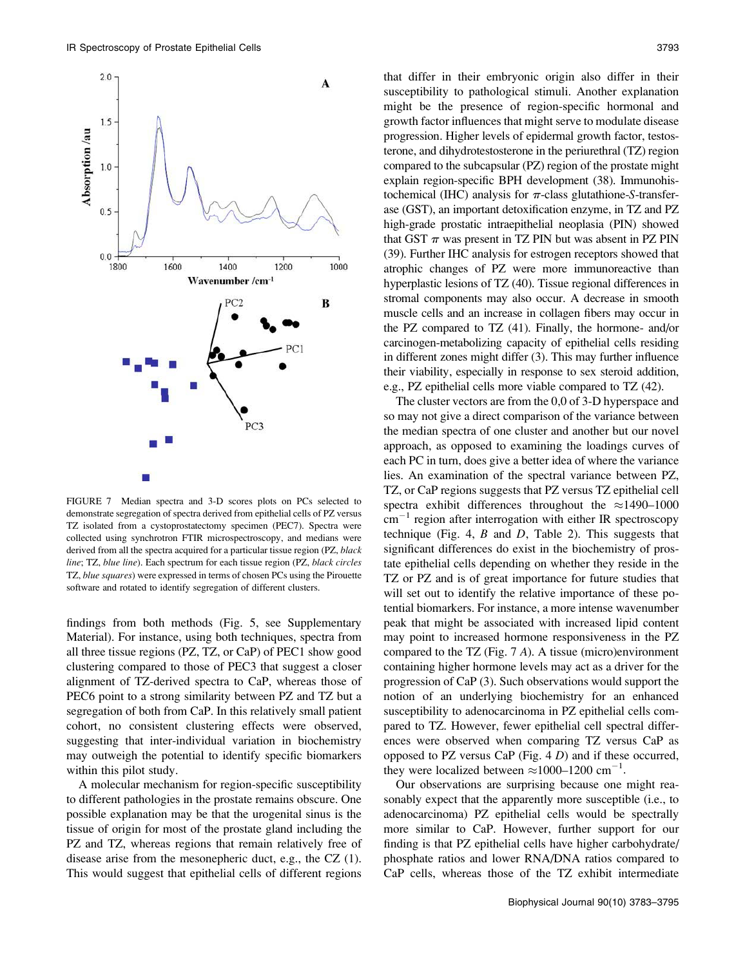

FIGURE 7 Median spectra and 3-D scores plots on PCs selected to demonstrate segregation of spectra derived from epithelial cells of PZ versus TZ isolated from a cystoprostatectomy specimen (PEC7). Spectra were collected using synchrotron FTIR microspectroscopy, and medians were derived from all the spectra acquired for a particular tissue region (PZ, black line; TZ, blue line). Each spectrum for each tissue region (PZ, black circles TZ, blue squares) were expressed in terms of chosen PCs using the Pirouette software and rotated to identify segregation of different clusters.

findings from both methods (Fig. 5, see Supplementary Material). For instance, using both techniques, spectra from all three tissue regions (PZ, TZ, or CaP) of PEC1 show good clustering compared to those of PEC3 that suggest a closer alignment of TZ-derived spectra to CaP, whereas those of PEC6 point to a strong similarity between PZ and TZ but a segregation of both from CaP. In this relatively small patient cohort, no consistent clustering effects were observed, suggesting that inter-individual variation in biochemistry may outweigh the potential to identify specific biomarkers within this pilot study.

A molecular mechanism for region-specific susceptibility to different pathologies in the prostate remains obscure. One possible explanation may be that the urogenital sinus is the tissue of origin for most of the prostate gland including the PZ and TZ, whereas regions that remain relatively free of disease arise from the mesonepheric duct, e.g., the CZ (1). This would suggest that epithelial cells of different regions

that differ in their embryonic origin also differ in their susceptibility to pathological stimuli. Another explanation might be the presence of region-specific hormonal and growth factor influences that might serve to modulate disease progression. Higher levels of epidermal growth factor, testosterone, and dihydrotestosterone in the periurethral (TZ) region compared to the subcapsular (PZ) region of the prostate might explain region-specific BPH development (38). Immunohistochemical (IHC) analysis for  $\pi$ -class glutathione-S-transferase (GST), an important detoxification enzyme, in TZ and PZ high-grade prostatic intraepithelial neoplasia (PIN) showed that GST  $\pi$  was present in TZ PIN but was absent in PZ PIN (39). Further IHC analysis for estrogen receptors showed that atrophic changes of PZ were more immunoreactive than hyperplastic lesions of TZ (40). Tissue regional differences in stromal components may also occur. A decrease in smooth muscle cells and an increase in collagen fibers may occur in the PZ compared to TZ (41). Finally, the hormone- and/or carcinogen-metabolizing capacity of epithelial cells residing in different zones might differ (3). This may further influence their viability, especially in response to sex steroid addition, e.g., PZ epithelial cells more viable compared to TZ (42).

The cluster vectors are from the 0,0 of 3-D hyperspace and so may not give a direct comparison of the variance between the median spectra of one cluster and another but our novel approach, as opposed to examining the loadings curves of each PC in turn, does give a better idea of where the variance lies. An examination of the spectral variance between PZ, TZ, or CaP regions suggests that PZ versus TZ epithelial cell spectra exhibit differences throughout the  $\approx$ 1490–1000  $cm^{-1}$  region after interrogation with either IR spectroscopy technique (Fig. 4,  $B$  and  $D$ , Table 2). This suggests that significant differences do exist in the biochemistry of prostate epithelial cells depending on whether they reside in the TZ or PZ and is of great importance for future studies that will set out to identify the relative importance of these potential biomarkers. For instance, a more intense wavenumber peak that might be associated with increased lipid content may point to increased hormone responsiveness in the PZ compared to the TZ (Fig. 7 A). A tissue (micro)environment containing higher hormone levels may act as a driver for the progression of CaP (3). Such observations would support the notion of an underlying biochemistry for an enhanced susceptibility to adenocarcinoma in PZ epithelial cells compared to TZ. However, fewer epithelial cell spectral differences were observed when comparing TZ versus CaP as opposed to PZ versus CaP (Fig.  $4 D$ ) and if these occurred, they were localized between  $\approx$ 1000–1200 cm<sup>-1</sup>.

Our observations are surprising because one might reasonably expect that the apparently more susceptible (i.e., to adenocarcinoma) PZ epithelial cells would be spectrally more similar to CaP. However, further support for our finding is that PZ epithelial cells have higher carbohydrate/ phosphate ratios and lower RNA/DNA ratios compared to CaP cells, whereas those of the TZ exhibit intermediate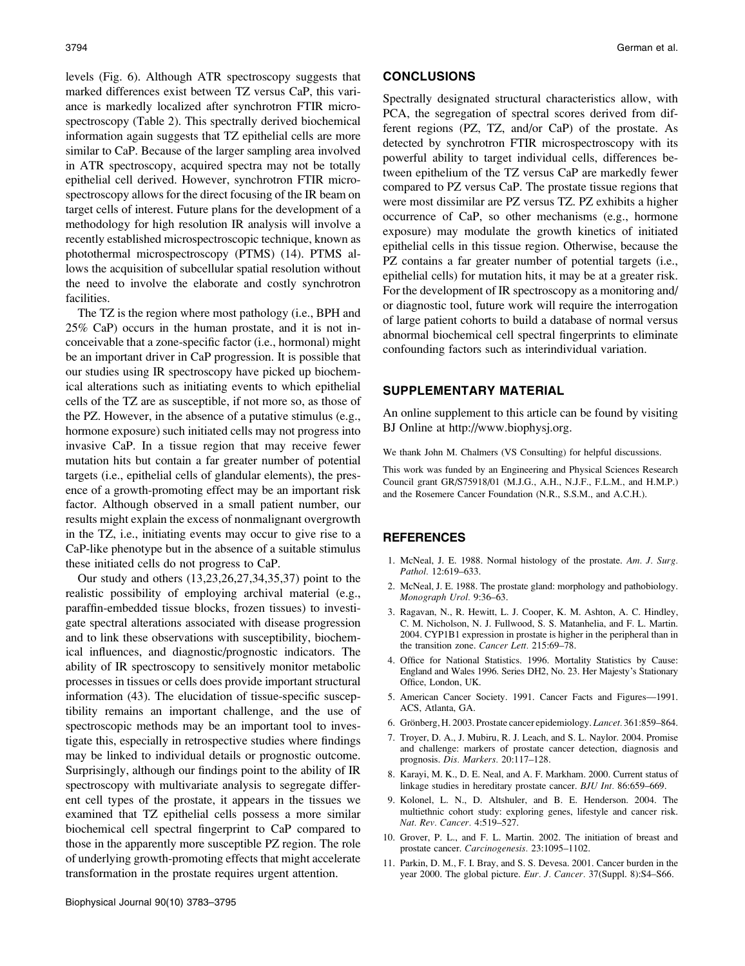levels (Fig. 6). Although ATR spectroscopy suggests that marked differences exist between TZ versus CaP, this variance is markedly localized after synchrotron FTIR microspectroscopy (Table 2). This spectrally derived biochemical information again suggests that TZ epithelial cells are more similar to CaP. Because of the larger sampling area involved in ATR spectroscopy, acquired spectra may not be totally epithelial cell derived. However, synchrotron FTIR microspectroscopy allows for the direct focusing of the IR beam on target cells of interest. Future plans for the development of a methodology for high resolution IR analysis will involve a recently established microspectroscopic technique, known as photothermal microspectroscopy (PTMS) (14). PTMS allows the acquisition of subcellular spatial resolution without the need to involve the elaborate and costly synchrotron facilities.

The TZ is the region where most pathology (i.e., BPH and 25% CaP) occurs in the human prostate, and it is not inconceivable that a zone-specific factor (i.e., hormonal) might be an important driver in CaP progression. It is possible that our studies using IR spectroscopy have picked up biochemical alterations such as initiating events to which epithelial cells of the TZ are as susceptible, if not more so, as those of the PZ. However, in the absence of a putative stimulus (e.g., hormone exposure) such initiated cells may not progress into invasive CaP. In a tissue region that may receive fewer mutation hits but contain a far greater number of potential targets (i.e., epithelial cells of glandular elements), the presence of a growth-promoting effect may be an important risk factor. Although observed in a small patient number, our results might explain the excess of nonmalignant overgrowth in the TZ, i.e., initiating events may occur to give rise to a CaP-like phenotype but in the absence of a suitable stimulus these initiated cells do not progress to CaP.

Our study and others (13,23,26,27,34,35,37) point to the realistic possibility of employing archival material (e.g., paraffin-embedded tissue blocks, frozen tissues) to investigate spectral alterations associated with disease progression and to link these observations with susceptibility, biochemical influences, and diagnostic/prognostic indicators. The ability of IR spectroscopy to sensitively monitor metabolic processes in tissues or cells does provide important structural information (43). The elucidation of tissue-specific susceptibility remains an important challenge, and the use of spectroscopic methods may be an important tool to investigate this, especially in retrospective studies where findings may be linked to individual details or prognostic outcome. Surprisingly, although our findings point to the ability of IR spectroscopy with multivariate analysis to segregate different cell types of the prostate, it appears in the tissues we examined that TZ epithelial cells possess a more similar biochemical cell spectral fingerprint to CaP compared to those in the apparently more susceptible PZ region. The role of underlying growth-promoting effects that might accelerate transformation in the prostate requires urgent attention.

### **CONCLUSIONS**

Spectrally designated structural characteristics allow, with PCA, the segregation of spectral scores derived from different regions (PZ, TZ, and/or CaP) of the prostate. As detected by synchrotron FTIR microspectroscopy with its powerful ability to target individual cells, differences between epithelium of the TZ versus CaP are markedly fewer compared to PZ versus CaP. The prostate tissue regions that were most dissimilar are PZ versus TZ. PZ exhibits a higher occurrence of CaP, so other mechanisms (e.g., hormone exposure) may modulate the growth kinetics of initiated epithelial cells in this tissue region. Otherwise, because the PZ contains a far greater number of potential targets (i.e., epithelial cells) for mutation hits, it may be at a greater risk. For the development of IR spectroscopy as a monitoring and/ or diagnostic tool, future work will require the interrogation of large patient cohorts to build a database of normal versus abnormal biochemical cell spectral fingerprints to eliminate confounding factors such as interindividual variation.

### SUPPLEMENTARY MATERIAL

An online supplement to this article can be found by visiting BJ Online at http://www.biophysj.org.

We thank John M. Chalmers (VS Consulting) for helpful discussions.

This work was funded by an Engineering and Physical Sciences Research Council grant GR/S75918/01 (M.J.G., A.H., N.J.F., F.L.M., and H.M.P.) and the Rosemere Cancer Foundation (N.R., S.S.M., and A.C.H.).

### **REFERENCES**

- 1. McNeal, J. E. 1988. Normal histology of the prostate. Am. J. Surg. Pathol. 12:619–633.
- 2. McNeal, J. E. 1988. The prostate gland: morphology and pathobiology. Monograph Urol. 9:36–63.
- 3. Ragavan, N., R. Hewitt, L. J. Cooper, K. M. Ashton, A. C. Hindley, C. M. Nicholson, N. J. Fullwood, S. S. Matanhelia, and F. L. Martin. 2004. CYP1B1 expression in prostate is higher in the peripheral than in the transition zone. Cancer Lett. 215:69–78.
- 4. Office for National Statistics. 1996. Mortality Statistics by Cause: England and Wales 1996. Series DH2, No. 23. Her Majesty's Stationary Office, London, UK.
- 5. American Cancer Society. 1991. Cancer Facts and Figures—1991. ACS, Atlanta, GA.
- 6. Grönberg, H. 2003. Prostate cancer epidemiology. Lancet. 361:859-864.
- 7. Troyer, D. A., J. Mubiru, R. J. Leach, and S. L. Naylor. 2004. Promise and challenge: markers of prostate cancer detection, diagnosis and prognosis. Dis. Markers. 20:117–128.
- 8. Karayi, M. K., D. E. Neal, and A. F. Markham. 2000. Current status of linkage studies in hereditary prostate cancer. BJU Int. 86:659–669.
- 9. Kolonel, L. N., D. Altshuler, and B. E. Henderson. 2004. The multiethnic cohort study: exploring genes, lifestyle and cancer risk. Nat. Rev. Cancer. 4:519–527.
- 10. Grover, P. L., and F. L. Martin. 2002. The initiation of breast and prostate cancer. Carcinogenesis. 23:1095–1102.
- 11. Parkin, D. M., F. I. Bray, and S. S. Devesa. 2001. Cancer burden in the year 2000. The global picture. Eur. J. Cancer. 37(Suppl. 8):S4-S66.